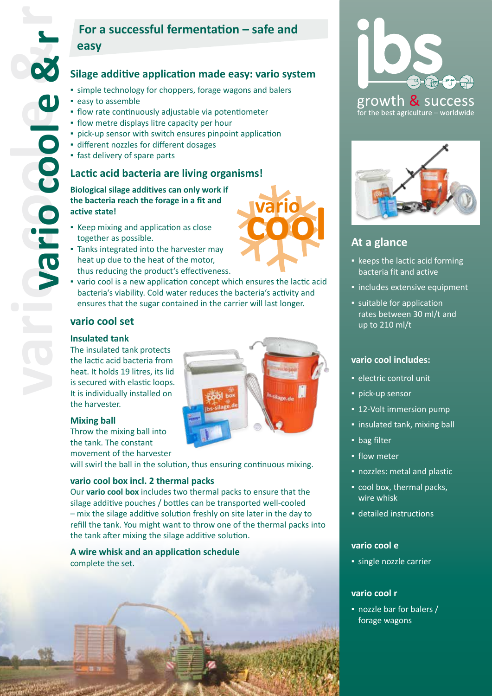# **For a successful fermentation – safe and easy**

# **Silage additive application made easy: vario system**

- **Example technology for choppers, forage wagons and balers**
- easy to assemble
- **·** flow rate continuously adjustable via potentiometer
- **.** flow metre displays litre capacity per hour
- **pick-up sensor with switch ensures pinpoint application**
- **·** different nozzles for different dosages
- fast delivery of spare parts

## **Lactic acid bacteria are living organisms!**

### **Biological silage additives can only work if the bacteria reach the forage in a fit and active state!**

- **EXECO** mixing and application as close together as possible.
- **Tanks integrated into the harvester may** heat up due to the heat of the motor, thus reducing the product's effectiveness.
- vario cool is a new application concept which ensures the lactic acid bacteria's viability. Cold water reduces the bacteria's activity and ensures that the sugar contained in the carrier will last longer.

## **vario cool set**

### **Insulated tank**

The insulated tank protects the lactic acid bacteria from heat. It holds 19 litres, its lid is secured with elastic loops. It is individually installed on the harvester.

#### **Mixing ball**

Throw the mixing ball into the tank. The constant movement of the harvester

will swirl the ball in the solution, thus ensuring continuous mixing.

#### **vario cool box incl. 2 thermal packs**

Our **vario cool box** includes two thermal packs to ensure that the silage additive pouches / bottles can be transported well-cooled – mix the silage additive solution freshly on site later in the day to refill the tank. You might want to throw one of the thermal packs into the tank after mixing the silage additive solution.

## **A wire whisk and an application schedule**  complete the set.





# **At a glance**

- keeps the lactic acid forming bacteria fit and active
- **·** includes extensive equipment
- suitable for application rates between 30 ml/t and up to 210 ml/t

#### **vario cool includes:**

- **·** electric control unit
- pick-up sensor
- **12-Volt immersion pump**
- insulated tank, mixing ball
- bag filter
- **·** flow meter
- nozzles: metal and plastic
- cool box, thermal packs, wire whisk
- detailed instructions

### **vario cool e**

▪ single nozzle carrier

## **vario cool r**

▪ nozzle bar for balers / forage wagons